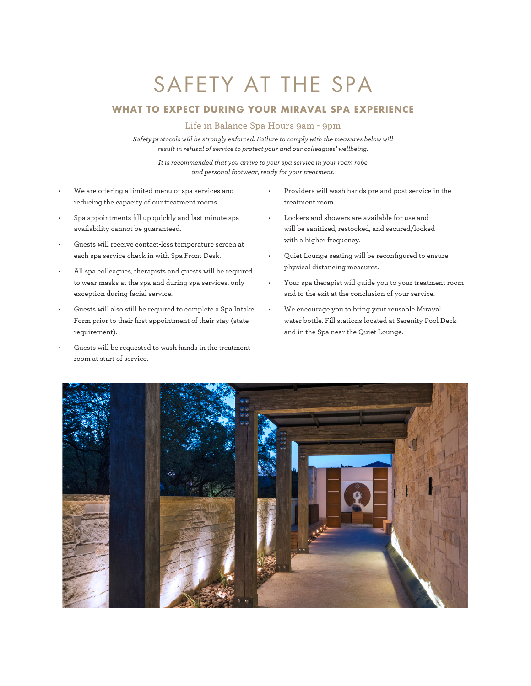## SAFETY AT THE SPA

## **WHAT TO EXPECT DURING YOUR MIRAVAL SPA EXPERIENCE**

## **Life in Balance Spa Hours 9am - 9pm**

*Safety protocols will be strongly enforced. Failure to comply with the measures below will result in refusal of service to protect your and our colleagues' wellbeing.* 

*It is recommended that you arrive to your spa service in your room robe and personal footwear, ready for your treatment.* 

- We are offering a limited menu of spa services and reducing the capacity of our treatment rooms.
- Spa appointments fill up quickly and last minute spa availability cannot be guaranteed.
- Guests will receive contact-less temperature screen at each spa service check in with Spa Front Desk.
- All spa colleagues, therapists and guests will be required to wear masks at the spa and during spa services, only exception during facial service.
- Guests will also still be required to complete a Spa Intake Form prior to their first appointment of their stay (state requirement).
- Guests will be requested to wash hands in the treatment room at start of service.
- Providers will wash hands pre and post service in the treatment room.
- Lockers and showers are available for use and will be sanitized, restocked, and secured/locked with a higher frequency.
- Quiet Lounge seating will be reconfigured to ensure physical distancing measures.
- Your spa therapist will guide you to your treatment room and to the exit at the conclusion of your service.
- We encourage you to bring your reusable Miraval water bottle. Fill stations located at Serenity Pool Deck and in the Spa near the Quiet Lounge.